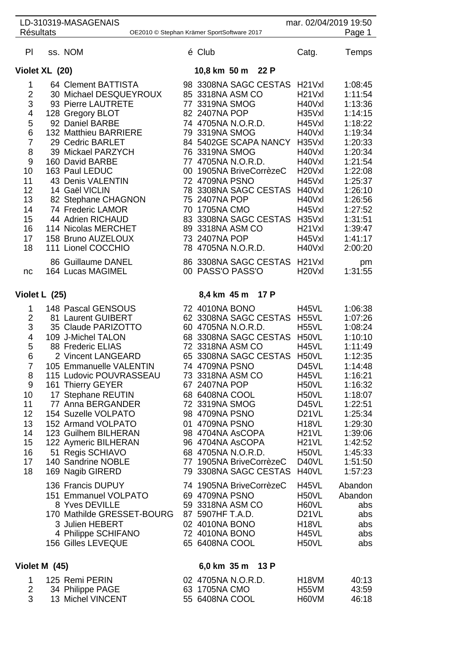| <b>Résultats</b> | LD-310319-MASAGENAIS                    | OE2010 © Stephan Krämer SportSoftware 2017 |                  |                                           | mar. 02/04/2019 19:50                                              | Page 1        |
|------------------|-----------------------------------------|--------------------------------------------|------------------|-------------------------------------------|--------------------------------------------------------------------|---------------|
| P                | ss. NOM                                 |                                            | é Club           |                                           | Catg.                                                              | Temps         |
|                  | Violet XL (20)                          |                                            |                  | 10,8 km 50 m 22 P                         |                                                                    |               |
| 1                | 64 Clement BATTISTA                     |                                            |                  | 98 3308NA SAGC CESTAS                     | H <sub>21</sub> V <sub>xl</sub>                                    | 1:08:45       |
| $\overline{2}$   | 30 Michael DESQUEYROUX                  |                                            |                  | 85 3318NA ASM CO                          | H <sub>21</sub> V <sub>xl</sub>                                    | 1:11:54       |
| 3                | 93 Pierre LAUTRETE                      |                                            | 77 3319NA SMOG   |                                           | H40Vxl                                                             | 1:13:36       |
| 4                | 128 Gregory BLOT                        |                                            | 82 2407NA POP    |                                           | H35Vxl                                                             | 1:14:15       |
| 5                | 92 Daniel BARBE                         |                                            |                  | 74 4705NA N.O.R.D.                        | H45Vxl                                                             | 1:18:22       |
| 6                | 132 Matthieu BARRIERE                   |                                            | 79 3319NA SMOG   |                                           | H40Vxl                                                             | 1:19:34       |
| $\overline{7}$   | 29 Cedric BARLET                        |                                            |                  | 84 5402GE SCAPA NANCY                     | H35Vxl                                                             | 1:20:33       |
| 8                | 39 Mickael PARZYCH                      |                                            | 76 3319NA SMOG   |                                           | H40Vxl                                                             | 1:20:34       |
| $\boldsymbol{9}$ | 160 David BARBE                         |                                            |                  | 77 4705NA N.O.R.D.                        | H40Vxl                                                             | 1:21:54       |
| 10               | 163 Paul LEDUC                          |                                            |                  | 00 1905NA BriveCorrèzeC                   | H <sub>20</sub> V <sub>xl</sub>                                    | 1:22:08       |
| 11               | 43 Denis VALENTIN                       |                                            | 72 4709NA PSNO   |                                           | H45Vxl                                                             | 1:25:37       |
| 12               | 14 Gaël VICLIN                          |                                            |                  | 78 3308NA SAGC CESTAS                     | H40Vxl                                                             | 1:26:10       |
| 13               | 82 Stephane CHAGNON                     |                                            | 75 2407NA POP    |                                           | H40Vxl                                                             | 1:26:56       |
| 14               | 74 Frederic LAMOR                       |                                            | 70 1705NA CMO    |                                           | H45Vxl                                                             | 1:27:52       |
| 15               | 44 Adrien RICHAUD                       |                                            |                  | 83 3308NA SAGC CESTAS                     | H35Vxl                                                             | 1:31:51       |
| 16               | 114 Nicolas MERCHET                     |                                            |                  | 89 3318NA ASM CO                          | H <sub>21</sub> V <sub>xl</sub>                                    | 1:39:47       |
| 17               | 158 Bruno AUZELOUX                      |                                            | 73 2407NA POP    |                                           | H45Vxl                                                             | 1:41:17       |
| 18               | 111 Lionel COCCHIO                      |                                            |                  | 78 4705NA N.O.R.D.                        | H40Vxl                                                             | 2:00:20       |
| nc               | 86 Guillaume DANEL<br>164 Lucas MAGIMEL |                                            |                  | 86 3308NA SAGC CESTAS<br>00 PASS'O PASS'O | H <sub>21</sub> V <sub>xl</sub><br>H <sub>20</sub> V <sub>xl</sub> | pm<br>1:31:55 |
|                  | Violet L (25)                           |                                            |                  | 8,4 km 45 m 17 P                          |                                                                    |               |
| 1                | 148 Pascal GENSOUS                      |                                            | 72 4010NA BONO   |                                           | H45VL                                                              | 1:06:38       |
| $\overline{2}$   | 81 Laurent GUIBERT                      |                                            |                  | 62 3308NA SAGC CESTAS                     | <b>H55VL</b>                                                       | 1:07:26       |
| 3                | 35 Claude PARIZOTTO                     |                                            |                  | 60 4705NA N.O.R.D.                        | H55VL                                                              | 1:08:24       |
| 4                | 109 J-Michel TALON                      |                                            |                  | 68 3308NA SAGC CESTAS H50VL               |                                                                    | 1:10:10       |
| 5                | 88 Frederic ELIAS                       |                                            |                  | 72 3318NA ASM CO                          | H45VL                                                              | 1:11:49       |
| 6                | 2 Vincent LANGEARD                      |                                            |                  | 65 3308NA SAGC CESTAS                     | H50VL                                                              | 1:12:35       |
| $\overline{7}$   | 105 Emmanuelle VALENTIN                 |                                            | 74 4709NA PSNO   |                                           | D45VL                                                              | 1:14:48       |
| 8                | 115 Ludovic POUVRASSEAU                 |                                            |                  | 73 3318NA ASM CO                          | H45VL                                                              | 1:16:21       |
| 9                | 161 Thierry GEYER                       |                                            | 67 2407NA POP    |                                           | H50VL                                                              | 1:16:32       |
| 10               | 17 Stephane REUTIN                      |                                            | 68 6408NA COOL   |                                           | H <sub>50</sub> VL                                                 | 1:18:07       |
| 11               | 77 Anna BERGANDER                       |                                            | 72 3319NA SMOG   |                                           | D45VL                                                              | 1:22:51       |
| 12               | 154 Suzelle VOLPATO                     |                                            | 98 4709NA PSNO   |                                           | D <sub>21</sub> VL                                                 | 1:25:34       |
| 13               | 152 Armand VOLPATO                      |                                            | 01 4709NA PSNO   |                                           | H <sub>18</sub> VL                                                 | 1:29:30       |
| 14               | 123 Guilhem BILHERAN                    |                                            |                  | 98 4704NA AsCOPA                          | <b>H21VL</b>                                                       | 1:39:06       |
| 15               | 122 Aymeric BILHERAN                    |                                            |                  | 96 4704NA AsCOPA                          | <b>H21VL</b>                                                       | 1:42:52       |
| 16               | 51 Regis SCHIAVO                        |                                            |                  | 68 4705NA N.O.R.D.                        | H50VL                                                              | 1:45:33       |
| 17               | 140 Sandrine NOBLE                      |                                            |                  | 77 1905NA BriveCorrèzeC                   | D40VL                                                              | 1:51:50       |
| 18               | 169 Nagib GIRERD                        |                                            |                  | 79 3308NA SAGC CESTAS                     | H40VL                                                              | 1:57:23       |
|                  | 136 Francis DUPUY                       |                                            |                  | 74 1905NA BriveCorrèzeC                   | H45VL                                                              | Abandon       |
|                  | 151 Emmanuel VOLPATO                    |                                            | 69 4709NA PSNO   |                                           | H50VL                                                              | Abandon       |
|                  | 8 Yves DEVILLE                          |                                            |                  | 59 3318NA ASM CO                          | H60VL                                                              | abs           |
|                  | 170 Mathilde GRESSET-BOURG              |                                            | 87 5907HF T.A.D. |                                           | D <sub>21</sub> VL                                                 | abs           |
|                  | 3 Julien HEBERT                         |                                            | 02 4010NA BONO   |                                           | H <sub>18</sub> VL                                                 | abs           |
|                  | 4 Philippe SCHIFANO                     |                                            | 72 4010NA BONO   |                                           | H45VL                                                              | abs           |
|                  | 156 Gilles LEVEQUE                      |                                            | 65 6408NA COOL   |                                           | H50VL                                                              | abs           |
|                  | Violet M (45)                           |                                            |                  | 6,0 km 35 m 13 P                          |                                                                    |               |
| 1                | 125 Remi PERIN                          |                                            |                  | 02 4705NA N.O.R.D.                        | H <sub>18</sub> VM                                                 | 40:13         |
| $\overline{2}$   | 34 Philippe PAGE                        |                                            | 63 1705NA CMO    |                                           | <b>H55VM</b>                                                       | 43:59         |

13 Michel VINCENT 55 6408NA COOL H60VM 46:18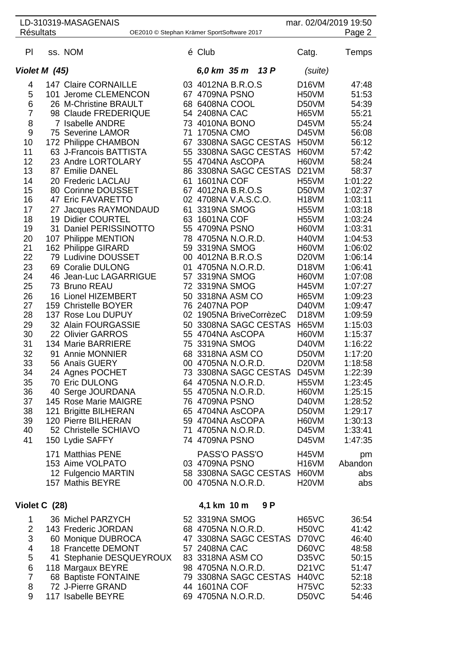| LD-310319-MASAGENAIS                                                                                                                                                                                                 |  | mar. 02/04/2019 19:50                                                                                                                                                                                                                                                                                                                                                                                                                                                                                                                                                                                                                                                                                                                                                                                                                                                   |                                  |                                                                                                                                                                                                                                                                                                                                                                                                                                                                                                                                                                                                                                                                                                                                                                       |                                                                                                                                                                                                                                                                                                                                                                                                                                                                              |                                                                                                                                                                                                                                                                                                                                                                                                 |  |  |
|----------------------------------------------------------------------------------------------------------------------------------------------------------------------------------------------------------------------|--|-------------------------------------------------------------------------------------------------------------------------------------------------------------------------------------------------------------------------------------------------------------------------------------------------------------------------------------------------------------------------------------------------------------------------------------------------------------------------------------------------------------------------------------------------------------------------------------------------------------------------------------------------------------------------------------------------------------------------------------------------------------------------------------------------------------------------------------------------------------------------|----------------------------------|-----------------------------------------------------------------------------------------------------------------------------------------------------------------------------------------------------------------------------------------------------------------------------------------------------------------------------------------------------------------------------------------------------------------------------------------------------------------------------------------------------------------------------------------------------------------------------------------------------------------------------------------------------------------------------------------------------------------------------------------------------------------------|------------------------------------------------------------------------------------------------------------------------------------------------------------------------------------------------------------------------------------------------------------------------------------------------------------------------------------------------------------------------------------------------------------------------------------------------------------------------------|-------------------------------------------------------------------------------------------------------------------------------------------------------------------------------------------------------------------------------------------------------------------------------------------------------------------------------------------------------------------------------------------------|--|--|
| <b>Résultats</b><br>Page 2<br>OE2010 © Stephan Krämer SportSoftware 2017                                                                                                                                             |  |                                                                                                                                                                                                                                                                                                                                                                                                                                                                                                                                                                                                                                                                                                                                                                                                                                                                         |                                  |                                                                                                                                                                                                                                                                                                                                                                                                                                                                                                                                                                                                                                                                                                                                                                       |                                                                                                                                                                                                                                                                                                                                                                                                                                                                              |                                                                                                                                                                                                                                                                                                                                                                                                 |  |  |
| PI                                                                                                                                                                                                                   |  | ss. NOM                                                                                                                                                                                                                                                                                                                                                                                                                                                                                                                                                                                                                                                                                                                                                                                                                                                                 |                                  | é Club                                                                                                                                                                                                                                                                                                                                                                                                                                                                                                                                                                                                                                                                                                                                                                | Catg.                                                                                                                                                                                                                                                                                                                                                                                                                                                                        | Temps                                                                                                                                                                                                                                                                                                                                                                                           |  |  |
| Violet M (45)                                                                                                                                                                                                        |  |                                                                                                                                                                                                                                                                                                                                                                                                                                                                                                                                                                                                                                                                                                                                                                                                                                                                         | 13P<br>6,0 km 35 m               | (suite)                                                                                                                                                                                                                                                                                                                                                                                                                                                                                                                                                                                                                                                                                                                                                               |                                                                                                                                                                                                                                                                                                                                                                                                                                                                              |                                                                                                                                                                                                                                                                                                                                                                                                 |  |  |
| 4<br>5<br>6<br>7<br>8<br>9<br>10<br>11<br>12<br>13<br>14<br>15<br>16<br>17<br>18<br>19<br>20<br>21<br>22<br>23<br>24<br>25<br>26<br>27<br>28<br>29<br>30<br>31<br>32<br>33<br>34<br>35<br>36<br>37<br>38<br>39<br>40 |  | <b>147 Claire CORNAILLE</b><br>101 Jerome CLEMENCON<br>26 M-Christine BRAULT<br>98 Claude FREDERIQUE<br>7 Isabelle ANDRE<br>75 Severine LAMOR<br>172 Philippe CHAMBON<br>63 J-Francois BATTISTA<br>23 Andre LORTOLARY<br>87 Emilie DANEL<br>20 Frederic LACLAU<br>80 Corinne DOUSSET<br>47 Eric FAVARETTO<br>27 Jacques RAYMONDAUD<br>19 Didier COURTEL<br>31 Daniel PERISSINOTTO<br>107 Philippe MENTION<br>162 Philippe GIRARD<br>79 Ludivine DOUSSET<br>69 Coralie DULONG<br>46 Jean-Luc LAGARRIGUE<br>73 Bruno REAU<br><b>16 Lionel HIZEMBERT</b><br>159 Christelle BOYER<br>137 Rose Lou DUPUY<br>32 Alain FOURGASSIE<br>22 Olivier GARROS<br>134 Marie BARRIERE<br>91 Annie MONNIER<br>56 Anaïs GUERY<br>24 Agnes POCHET<br>70 Eric DULONG<br>40 Serge JOURDANA<br>145 Rose Marie MAIGRE<br>121 Brigitte BILHERAN<br>120 Pierre BILHERAN<br>52 Christelle SCHIAVO | 71<br>67<br>61<br>01<br>57<br>75 | 03 4012NA B.R.O.S<br>67 4709NA PSNO<br>68 6408NA COOL<br>54 2408NA CAC<br>73 4010NA BONO<br><b>1705NA CMO</b><br>3308NA SAGC CESTAS<br>55 3308NA SAGC CESTAS<br>55 4704NA AsCOPA<br>86 3308NA SAGC CESTAS<br>1601NA COF<br>67 4012NA B.R.O.S<br>02 4708NA V.A.S.C.O.<br>61 3319NA SMOG<br>63 1601NA COF<br>55 4709NA PSNO<br>78 4705NA N.O.R.D.<br>59 3319NA SMOG<br>00 4012NA B.R.O.S<br>4705NA N.O.R.D.<br>3319NA SMOG<br>72 3319NA SMOG<br>50 3318NA ASM CO<br>76 2407NA POP<br>02 1905NA BriveCorrèzeC<br>50 3308NA SAGC CESTAS<br>55 4704NA AsCOPA<br>3319NA SMOG<br>68 3318NA ASM CO<br>00 4705NA N.O.R.D.<br>73 3308NA SAGC CESTAS<br>64 4705NA N.O.R.D.<br>55 4705NA N.O.R.D.<br>76 4709NA PSNO<br>65 4704NA AsCOPA<br>59 4704NA AsCOPA<br>71 4705NA N.O.R.D. | D <sub>16</sub> VM<br>H <sub>50</sub> VM<br>D50VM<br>H65VM<br>D45VM<br>D45VM<br>H <sub>50</sub> VM<br>H60VM<br>H60VM<br>D <sub>21</sub> VM<br>H55VM<br>D50VM<br>H <sub>18</sub> VM<br><b>H55VM</b><br><b>H55VM</b><br>H60VM<br>H40VM<br>H60VM<br>D <sub>20</sub> VM<br>D <sub>18</sub> VM<br>H60VM<br>H45VM<br>H65VM<br>D40VM<br>D <sub>18</sub> VM<br>H65VM<br>H60VM<br>D40VM<br>D50VM<br>D <sub>20</sub> VM<br>D45VM<br>H55VM<br>H60VM<br>D40VM<br>D50VM<br>H60VM<br>D45VM | 47:48<br>51:53<br>54:39<br>55:21<br>55:24<br>56:08<br>56:12<br>57:42<br>58:24<br>58:37<br>1:01:22<br>1:02:37<br>1:03:11<br>1:03:18<br>1:03:24<br>1:03:31<br>1:04:53<br>1:06:02<br>1:06:14<br>1:06:41<br>1:07:08<br>1:07:27<br>1:09:23<br>1:09:47<br>1:09:59<br>1:15:03<br>1:15:37<br>1:16:22<br>1:17:20<br>1:18:58<br>1:22:39<br>1:23:45<br>1:25:15<br>1:28:52<br>1:29:17<br>1:30:13<br>1:33:41 |  |  |
| 41                                                                                                                                                                                                                   |  | 150 Lydie SAFFY<br>171 Matthias PENE<br>153 Aime VOLPATO<br>12 Fulgencio MARTIN<br>157 Mathis BEYRE                                                                                                                                                                                                                                                                                                                                                                                                                                                                                                                                                                                                                                                                                                                                                                     |                                  | 74 4709NA PSNO<br>PASS'O PASS'O<br>03 4709NA PSNO<br>58 3308NA SAGC CESTAS<br>00 4705NA N.O.R.D.                                                                                                                                                                                                                                                                                                                                                                                                                                                                                                                                                                                                                                                                      | D45VM<br><b>H45VM</b><br>H <sub>16</sub> VM<br>H60VM<br>H <sub>20</sub> VM                                                                                                                                                                                                                                                                                                                                                                                                   | 1:47:35<br>pm<br>Abandon<br>abs<br>abs                                                                                                                                                                                                                                                                                                                                                          |  |  |
| Violet C (28)                                                                                                                                                                                                        |  | 4,1 km 10 m<br>9 P                                                                                                                                                                                                                                                                                                                                                                                                                                                                                                                                                                                                                                                                                                                                                                                                                                                      |                                  |                                                                                                                                                                                                                                                                                                                                                                                                                                                                                                                                                                                                                                                                                                                                                                       |                                                                                                                                                                                                                                                                                                                                                                                                                                                                              |                                                                                                                                                                                                                                                                                                                                                                                                 |  |  |
| 1<br>$\overline{2}$<br>3<br>4<br>5<br>6<br>7<br>8<br>9                                                                                                                                                               |  | 36 Michel PARZYCH<br>143 Frederic JORDAN<br>60 Monique DUBROCA<br>18 Francette DEMONT<br>41 Stephanie DESQUEYROUX<br>118 Margaux BEYRE<br>68 Baptiste FONTAINE<br>72 J-Pierre GRAND<br>117 Isabelle BEYRE                                                                                                                                                                                                                                                                                                                                                                                                                                                                                                                                                                                                                                                               |                                  | 52 3319NA SMOG<br>68 4705NA N.O.R.D.<br>47 3308NA SAGC CESTAS<br>57 2408NA CAC<br>83 3318NA ASM CO<br>98 4705NA N.O.R.D.<br>79 3308NA SAGC CESTAS<br>44 1601NA COF<br>69 4705NA N.O.R.D.                                                                                                                                                                                                                                                                                                                                                                                                                                                                                                                                                                              | H65VC<br>H <sub>50</sub> VC<br>D70VC<br>D60VC<br>D35VC<br><b>D21VC</b><br>H <sub>40</sub> VC<br>H <sub>75</sub> VC<br>D50VC                                                                                                                                                                                                                                                                                                                                                  | 36:54<br>41:42<br>46:40<br>48:58<br>50:15<br>51:47<br>52:18<br>52:33<br>54:46                                                                                                                                                                                                                                                                                                                   |  |  |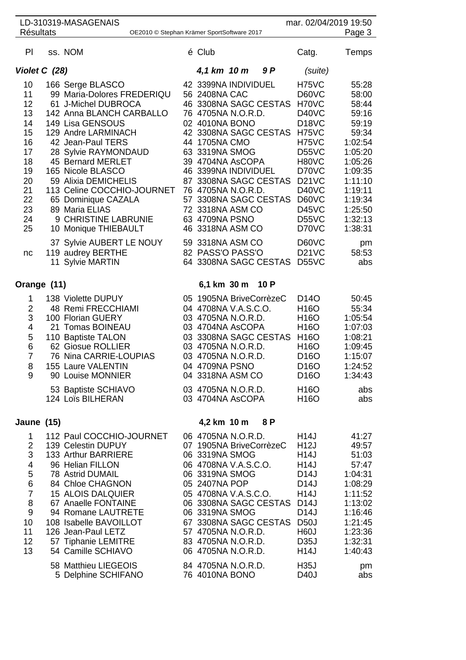|                                                                                              | LD-310319-MASAGENAIS                                                                                                                                                                                                                                                                                                                                                                                           |                                                                                                                                                                                                                                                                  |                                                                                                  | mar. 02/04/2019 19:50                                                                                                                                                                                                        |                                                                                                                                                                        |
|----------------------------------------------------------------------------------------------|----------------------------------------------------------------------------------------------------------------------------------------------------------------------------------------------------------------------------------------------------------------------------------------------------------------------------------------------------------------------------------------------------------------|------------------------------------------------------------------------------------------------------------------------------------------------------------------------------------------------------------------------------------------------------------------|--------------------------------------------------------------------------------------------------|------------------------------------------------------------------------------------------------------------------------------------------------------------------------------------------------------------------------------|------------------------------------------------------------------------------------------------------------------------------------------------------------------------|
| <b>Résultats</b>                                                                             | OE2010 © Stephan Krämer SportSoftware 2017                                                                                                                                                                                                                                                                                                                                                                     |                                                                                                                                                                                                                                                                  |                                                                                                  |                                                                                                                                                                                                                              | Page 3                                                                                                                                                                 |
| PI                                                                                           | ss. NOM                                                                                                                                                                                                                                                                                                                                                                                                        | é Club                                                                                                                                                                                                                                                           |                                                                                                  | Catg.                                                                                                                                                                                                                        | Temps                                                                                                                                                                  |
| Violet C (28)                                                                                |                                                                                                                                                                                                                                                                                                                                                                                                                | 4,1 km 10 m                                                                                                                                                                                                                                                      | 9 P                                                                                              | (suite)                                                                                                                                                                                                                      |                                                                                                                                                                        |
| 10<br>11<br>12<br>13<br>14<br>15<br>16<br>17<br>18<br>19<br>20<br>21<br>22<br>23<br>24<br>25 | 166 Serge BLASCO<br>99 Maria-Dolores FREDERIQU<br>61 J-Michel DUBROCA<br>142 Anna BLANCH CARBALLO<br>149 Lisa GENSOUS<br>129 Andre LARMINACH<br>42 Jean-Paul TERS<br>28 Sylvie RAYMONDAUD<br>45 Bernard MERLET<br>165 Nicole BLASCO<br>59 Alixia DEMICHELIS<br>113 Celine COCCHIO-JOURNET<br>65 Dominique CAZALA<br>89 Maria ELIAS<br>9 CHRISTINE LABRUNIE<br>10 Monique THIEBAULT<br>37 Sylvie AUBERT LE NOUY | 42 3399NA INDIVIDUEL<br>56 2408NA CAC<br>76 4705NA N.O.R.D.<br>02 4010NA BONO<br>44 1705NA CMO<br>63 3319NA SMOG<br>39 4704NA AsCOPA<br>46 3399NA INDIVIDUEL<br>76 4705NA N.O.R.D.<br>72 3318NA ASM CO<br>63 4709NA PSNO<br>46 3318NA ASM CO<br>59 3318NA ASM CO | 46 3308NA SAGC CESTAS<br>42 3308NA SAGC CESTAS<br>87 3308NA SAGC CESTAS<br>57 3308NA SAGC CESTAS | H75VC<br>D60VC<br>H70VC<br>D40VC<br>D <sub>18</sub> VC<br>H75VC<br>H75VC<br>D <sub>55</sub> VC<br>H80VC<br>D70VC<br>D <sub>21</sub> V <sub>C</sub><br>D40VC<br>D60VC<br><b>D45VC</b><br>D <sub>55</sub> VC<br>D70VC<br>D60VC | 55:28<br>58:00<br>58:44<br>59:16<br>59:19<br>59:34<br>1:02:54<br>1:05:20<br>1:05:26<br>1:09:35<br>1:11:10<br>1:19:11<br>1:19:34<br>1:25:50<br>1:32:13<br>1:38:31<br>pm |
| nc                                                                                           | 119 audrey BERTHE<br>11 Sylvie MARTIN                                                                                                                                                                                                                                                                                                                                                                          | 82 PASS'O PASS'O                                                                                                                                                                                                                                                 | 64 3308NA SAGC CESTAS                                                                            | <b>D21VC</b><br>D <sub>55</sub> VC                                                                                                                                                                                           | 58:53<br>abs                                                                                                                                                           |
| Orange (11)                                                                                  |                                                                                                                                                                                                                                                                                                                                                                                                                | 6,1 km 30 m 10 P                                                                                                                                                                                                                                                 |                                                                                                  |                                                                                                                                                                                                                              |                                                                                                                                                                        |
| 1<br>2<br>3<br>4<br>5<br>6<br>$\overline{7}$<br>8<br>9                                       | 138 Violette DUPUY<br>48 Remi FRECCHIAMI<br>100 Florian GUERY<br>21 Tomas BOINEAU<br>110 Baptiste TALON<br>62 Giosue ROLLIER<br>76 Nina CARRIE-LOUPIAS<br>155 Laure VALENTIN<br>90 Louise MONNIER                                                                                                                                                                                                              | 05 1905NA BriveCorrèzeC<br>04 4708NA V.A.S.C.O.<br>03 4705NA N.O.R.D.<br>03 4704NA AsCOPA<br>03 4705NA N.O.R.D.<br>03 4705NA N.O.R.D.<br>04 4709NA PSNO<br>04 3318NA ASM CO                                                                                      | 03 3308NA SAGC CESTAS                                                                            | D <sub>14</sub> O<br>H <sub>16</sub> O<br>H <sub>16</sub> O<br>H <sub>16</sub> O<br>H <sub>16</sub> O<br>H <sub>16</sub> O<br>D <sub>16</sub> O<br>D <sub>16</sub> O<br>D <sub>16</sub> O                                    | 50:45<br>55:34<br>1:05:54<br>1:07:03<br>1:08:21<br>1:09:45<br>1:15:07<br>1:24:52<br>1:34:43                                                                            |
|                                                                                              | 53 Baptiste SCHIAVO<br>124 Loïs BILHERAN                                                                                                                                                                                                                                                                                                                                                                       | 03 4705NA N.O.R.D.<br>03 4704NA AsCOPA                                                                                                                                                                                                                           |                                                                                                  | H <sub>16</sub> O<br>H <sub>16</sub> O                                                                                                                                                                                       | abs<br>abs                                                                                                                                                             |
| Jaune (15)                                                                                   |                                                                                                                                                                                                                                                                                                                                                                                                                | 4,2 km 10 m                                                                                                                                                                                                                                                      | 8 P                                                                                              |                                                                                                                                                                                                                              |                                                                                                                                                                        |
| 1<br>2<br>3<br>4<br>5<br>6<br>$\overline{7}$<br>8<br>9<br>10<br>11<br>12<br>13               | 112 Paul COCCHIO-JOURNET<br>139 Celestin DUPUY<br>133 Arthur BARRIERE<br>96 Helian FILLON<br>78 Astrid DUMAIL<br>84 Chloe CHAGNON<br><b>15 ALOIS DALQUIER</b><br>67 Anaelle FONTAINE<br>94 Romane LAUTRETE<br>108 Isabelle BAVOILLOT<br>126 Jean-Paul LETZ<br>57 Tiphanie LEMITRE<br>54 Camille SCHIAVO                                                                                                        | 06 4705NA N.O.R.D.<br>07 1905NA BriveCorrèzeC<br>06 3319NA SMOG<br>06 4708NA V.A.S.C.O.<br>06 3319NA SMOG<br>05 2407NA POP<br>05 4708NA V.A.S.C.O.<br>06 3319NA SMOG<br>57 4705NA N.O.R.D.<br>83 4705NA N.O.R.D.<br>06 4705NA N.O.R.D.                           | 06 3308NA SAGC CESTAS D14J<br>67 3308NA SAGC CESTAS D50J                                         | <b>H14J</b><br>H <sub>12</sub> J<br>H <sub>14</sub> J<br><b>H14J</b><br>D <sub>14</sub> J<br>D <sub>14</sub> J<br>H14J<br>D <sub>14</sub> J<br>H <sub>60</sub> J<br>D <sub>35</sub> J<br><b>H14J</b>                         | 41:27<br>49:57<br>51:03<br>57:47<br>1:04:31<br>1:08:29<br>1:11:52<br>1:13:02<br>1:16:46<br>1:21:45<br>1:23:36<br>1:32:31<br>1:40:43                                    |
|                                                                                              | 58 Matthieu LIEGEOIS<br>5 Delphine SCHIFANO                                                                                                                                                                                                                                                                                                                                                                    | 84 4705NA N.O.R.D.<br>76 4010NA BONO                                                                                                                                                                                                                             |                                                                                                  | <b>H35J</b><br>D <sub>40</sub> J                                                                                                                                                                                             | pm<br>abs                                                                                                                                                              |